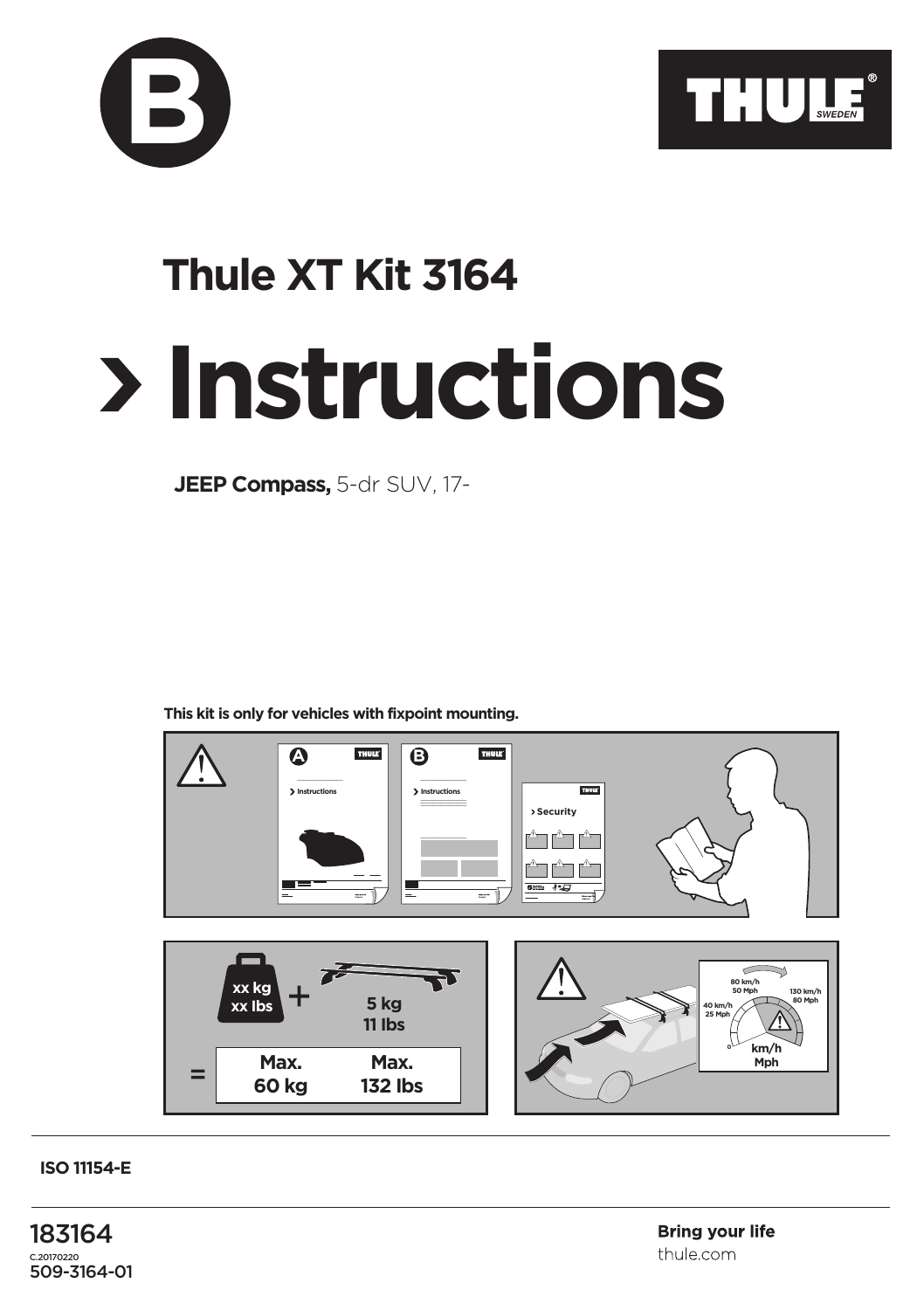



## **Instructions Thule XT Kit 3164**

**JEEP Compass,** 5-dr SUV, 17-

**This kit is only for vehicles with fixpoint mounting.**



**ISO 11154-E**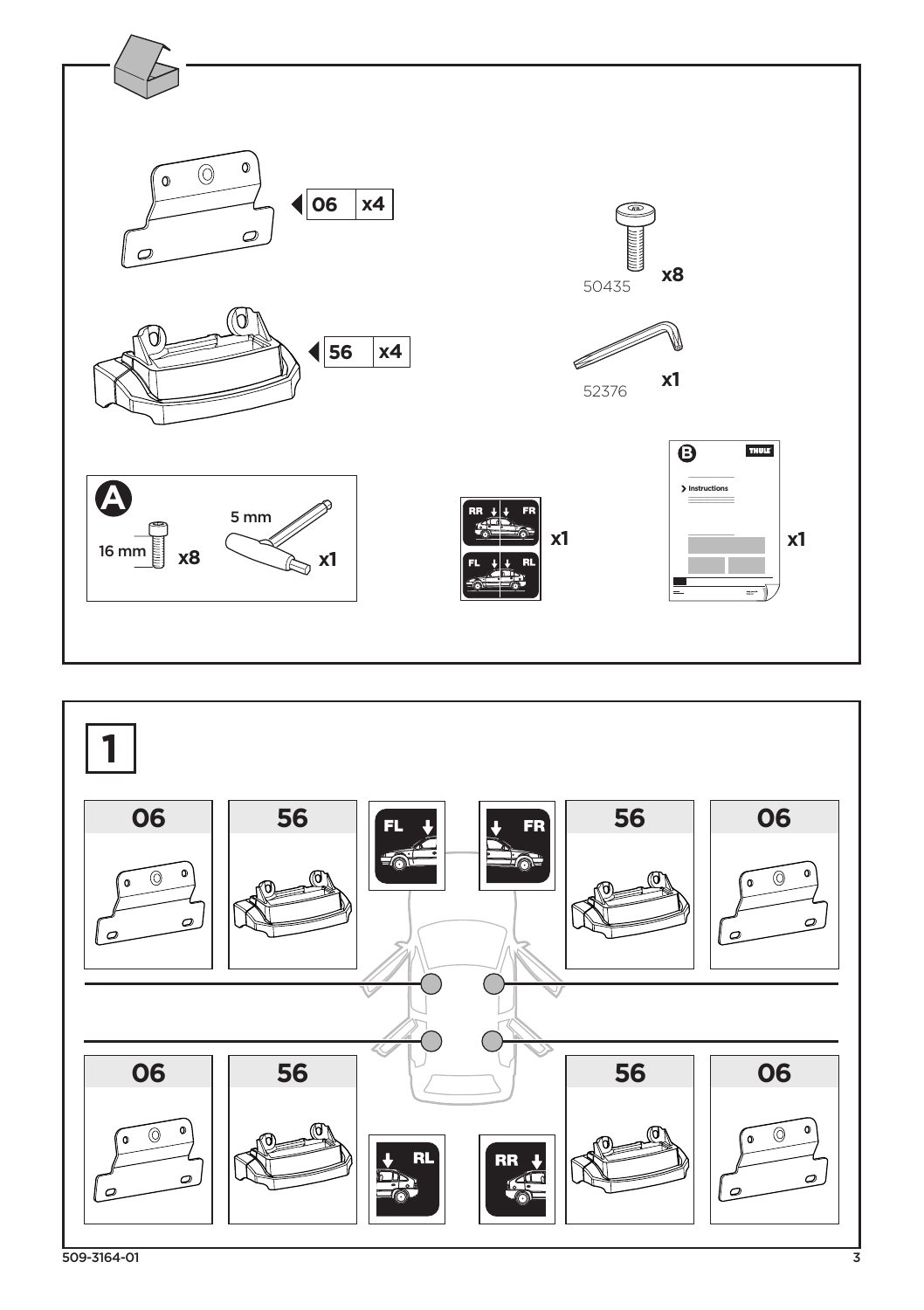



509-3164-01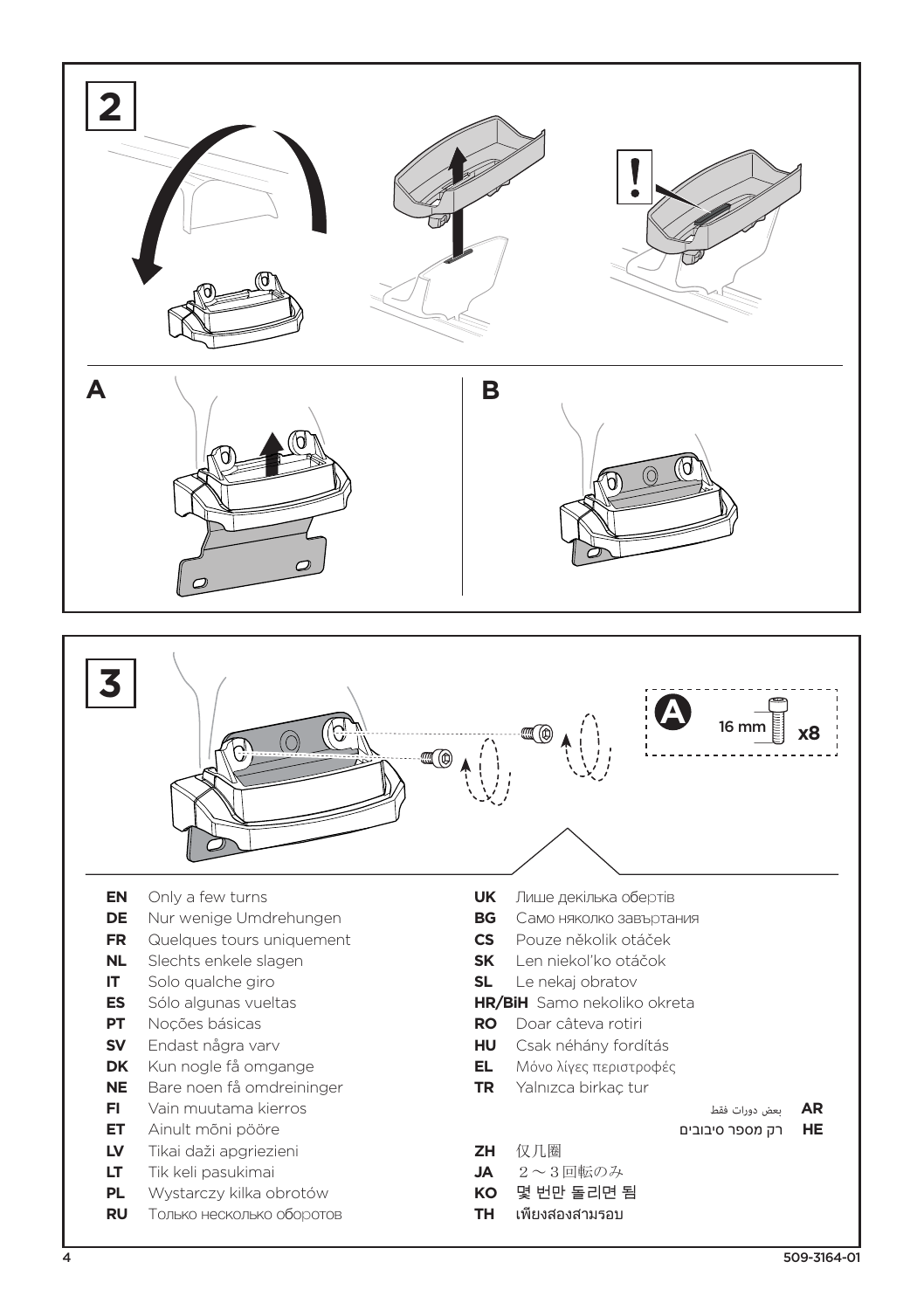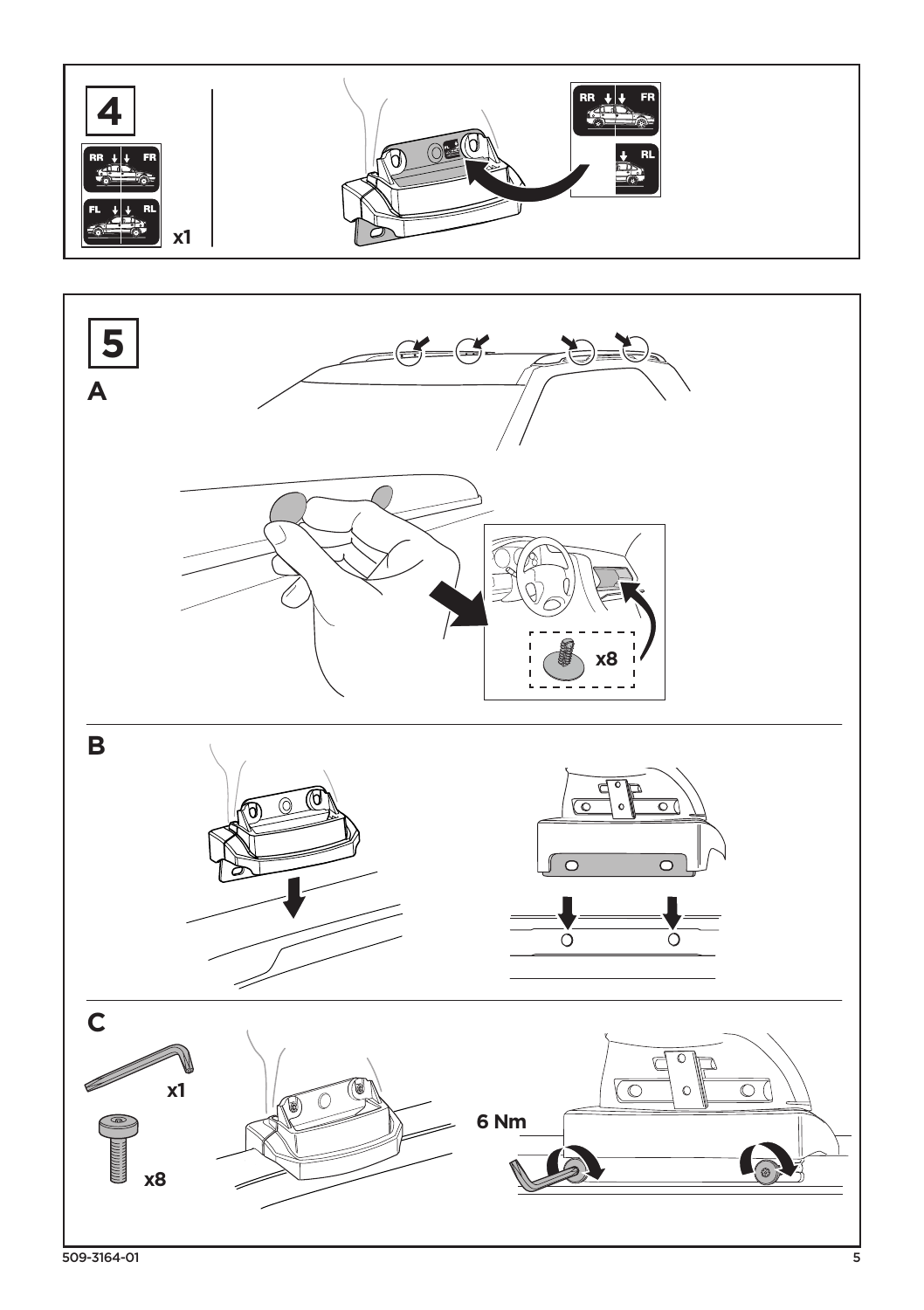



509-3164-01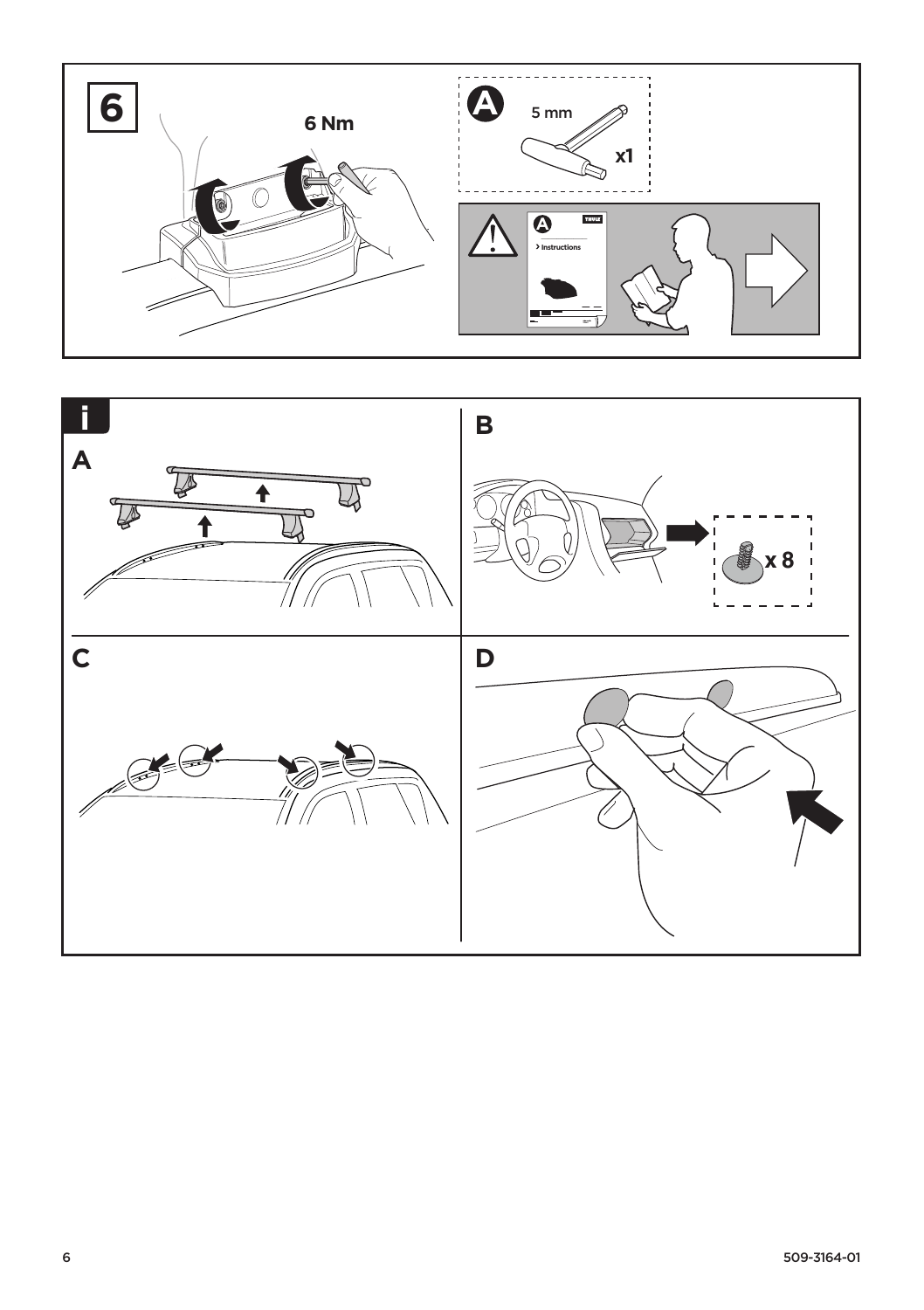